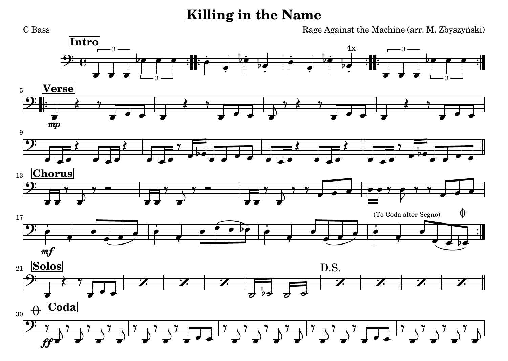## **Killing in the Name**